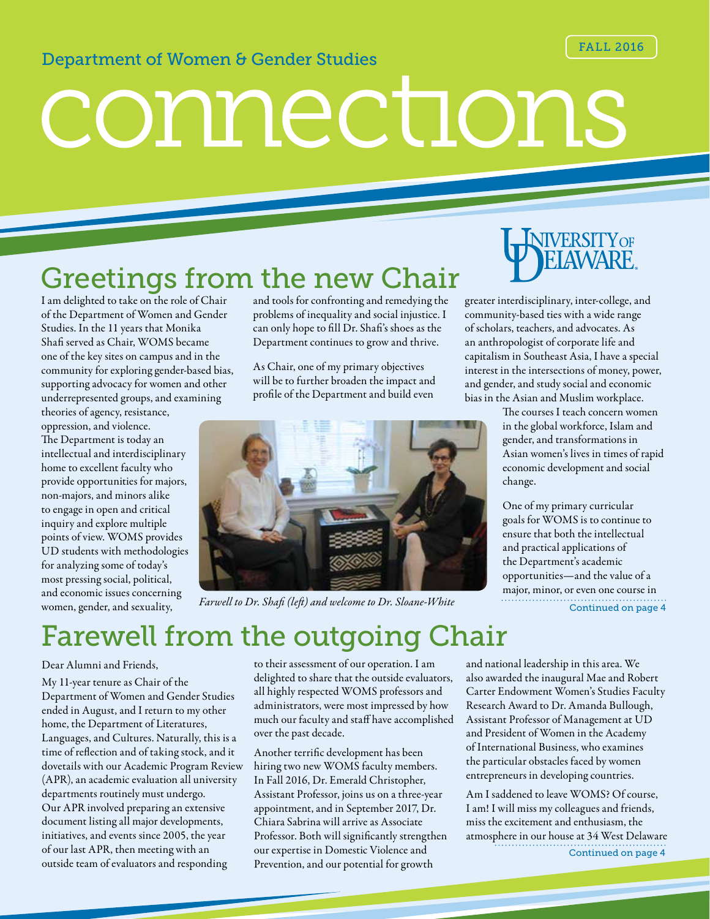#### FALL 2016

#### Department of Women & Gender Studies

# connections

# Greetings from the new Chair

I am delighted to take on the role of Chair of the Department of Women and Gender Studies. In the 11 years that Monika Shafi served as Chair, WOMS became one of the key sites on campus and in the community for exploring gender-based bias, supporting advocacy for women and other underrepresented groups, and examining

theories of agency, resistance, oppression, and violence. The Department is today an intellectual and interdisciplinary home to excellent faculty who provide opportunities for majors, non-majors, and minors alike to engage in open and critical inquiry and explore multiple points of view. WOMS provides UD students with methodologies for analyzing some of today's most pressing social, political, and economic issues concerning women, gender, and sexuality,

and tools for confronting and remedying the problems of inequality and social injustice. I can only hope to fill Dr. Shafi's shoes as the Department continues to grow and thrive.

As Chair, one of my primary objectives will be to further broaden the impact and profile of the Department and build even



*Farwell to Dr. Shafi (left) and welcome to Dr. Sloane-White*



greater interdisciplinary, inter-college, and community-based ties with a wide range of scholars, teachers, and advocates. As an anthropologist of corporate life and capitalism in Southeast Asia, I have a special interest in the intersections of money, power, and gender, and study social and economic bias in the Asian and Muslim workplace.

> The courses I teach concern women in the global workforce, Islam and gender, and transformations in Asian women's lives in times of rapid economic development and social change.

One of my primary curricular goals for WOMS is to continue to ensure that both the intellectual and practical applications of the Department's academic opportunities—and the value of a major, minor, or even one course in Continued on page 4

# Farewell from the outgoing Chair

#### Dear Alumni and Friends,

My 11-year tenure as Chair of the Department of Women and Gender Studies ended in August, and I return to my other home, the Department of Literatures, Languages, and Cultures. Naturally, this is a time of reflection and of taking stock, and it dovetails with our Academic Program Review (APR), an academic evaluation all university departments routinely must undergo. Our APR involved preparing an extensive document listing all major developments, initiatives, and events since 2005, the year of our last APR, then meeting with an outside team of evaluators and responding

to their assessment of our operation. I am delighted to share that the outside evaluators, all highly respected WOMS professors and administrators, were most impressed by how much our faculty and staff have accomplished over the past decade.

Another terrific development has been hiring two new WOMS faculty members. In Fall 2016, Dr. Emerald Christopher, Assistant Professor, joins us on a three-year appointment, and in September 2017, Dr. Chiara Sabrina will arrive as Associate Professor. Both will significantly strengthen our expertise in Domestic Violence and Prevention, and our potential for growth

and national leadership in this area. We also awarded the inaugural Mae and Robert Carter Endowment Women's Studies Faculty Research Award to Dr. Amanda Bullough, Assistant Professor of Management at UD and President of Women in the Academy of International Business, who examines the particular obstacles faced by women entrepreneurs in developing countries.

Am I saddened to leave WOMS? Of course, I am! I will miss my colleagues and friends, miss the excitement and enthusiasm, the atmosphere in our house at 34 West Delaware Continued on page 4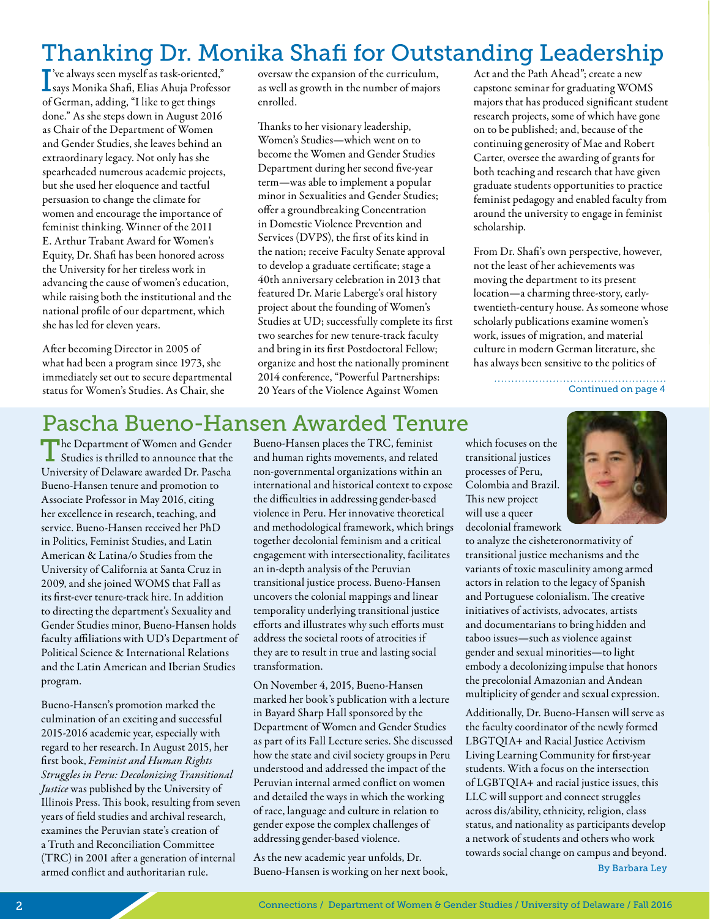# Thanking Dr. Monika Shafi for Outstanding Leadership

I says Monika Shafi, Elias Ahuja Professor 've always seen myself as task-oriented," of German, adding, "I like to get things done." As she steps down in August 2016 as Chair of the Department of Women and Gender Studies, she leaves behind an extraordinary legacy. Not only has she spearheaded numerous academic projects, but she used her eloquence and tactful persuasion to change the climate for women and encourage the importance of feminist thinking. Winner of the 2011 E. Arthur Trabant Award for Women's Equity, Dr. Shafi has been honored across the University for her tireless work in advancing the cause of women's education, while raising both the institutional and the national profile of our department, which she has led for eleven years.

After becoming Director in 2005 of what had been a program since 1973, she immediately set out to secure departmental status for Women's Studies. As Chair, she

oversaw the expansion of the curriculum, as well as growth in the number of majors enrolled.

Thanks to her visionary leadership, Women's Studies—which went on to become the Women and Gender Studies Department during her second five-year term—was able to implement a popular minor in Sexualities and Gender Studies; offer a groundbreaking Concentration in Domestic Violence Prevention and Services (DVPS), the first of its kind in the nation; receive Faculty Senate approval to develop a graduate certificate; stage a 40th anniversary celebration in 2013 that featured Dr. Marie Laberge's oral history project about the founding of Women's Studies at UD; successfully complete its first two searches for new tenure-track faculty and bring in its first Postdoctoral Fellow; organize and host the nationally prominent 2014 conference, "Powerful Partnerships: 20 Years of the Violence Against Women

Act and the Path Ahead"; create a new capstone seminar for graduating WOMS majors that has produced significant student research projects, some of which have gone on to be published; and, because of the continuing generosity of Mae and Robert Carter, oversee the awarding of grants for both teaching and research that have given graduate students opportunities to practice feminist pedagogy and enabled faculty from around the university to engage in feminist scholarship.

From Dr. Shafi's own perspective, however, not the least of her achievements was moving the department to its present location—a charming three-story, earlytwentieth-century house. As someone whose scholarly publications examine women's work, issues of migration, and material culture in modern German literature, she has always been sensitive to the politics of

> Continued on page 4

## Pascha Bueno-Hansen Awarded Tenure

The Department of Women and Gender Studies is thrilled to announce that the University of Delaware awarded Dr. Pascha Bueno-Hansen tenure and promotion to Associate Professor in May 2016, citing her excellence in research, teaching, and service. Bueno-Hansen received her PhD in Politics, Feminist Studies, and Latin American & Latina/o Studies from the University of California at Santa Cruz in 2009, and she joined WOMS that Fall as its first-ever tenure-track hire. In addition to directing the department's Sexuality and Gender Studies minor, Bueno-Hansen holds faculty affiliations with UD's Department of Political Science & International Relations and the Latin American and Iberian Studies program.

Bueno-Hansen's promotion marked the culmination of an exciting and successful 2015-2016 academic year, especially with regard to her research. In August 2015, her first book, *Feminist and Human Rights Struggles in Peru: Decolonizing Transitional Justice* was published by the University of Illinois Press. This book, resulting from seven years of field studies and archival research, examines the Peruvian state's creation of a Truth and Reconciliation Committee (TRC) in 2001 after a generation of internal armed conflict and authoritarian rule.

Bueno-Hansen places the TRC, feminist and human rights movements, and related non-governmental organizations within an international and historical context to expose the difficulties in addressing gender-based violence in Peru. Her innovative theoretical and methodological framework, which brings together decolonial feminism and a critical engagement with intersectionality, facilitates an in-depth analysis of the Peruvian transitional justice process. Bueno-Hansen uncovers the colonial mappings and linear temporality underlying transitional justice efforts and illustrates why such efforts must address the societal roots of atrocities if they are to result in true and lasting social transformation.

On November 4, 2015, Bueno-Hansen marked her book's publication with a lecture in Bayard Sharp Hall sponsored by the Department of Women and Gender Studies as part of its Fall Lecture series. She discussed how the state and civil society groups in Peru understood and addressed the impact of the Peruvian internal armed conflict on women and detailed the ways in which the working of race, language and culture in relation to gender expose the complex challenges of addressing gender-based violence.

As the new academic year unfolds, Dr. Bueno-Hansen is working on her next book,

which focuses on the transitional justices processes of Peru, Colombia and Brazil. This new project will use a queer decolonial framework

to analyze the cisheteronormativity of transitional justice mechanisms and the variants of toxic masculinity among armed actors in relation to the legacy of Spanish and Portuguese colonialism. The creative initiatives of activists, advocates, artists and documentarians to bring hidden and taboo issues—such as violence against gender and sexual minorities—to light embody a decolonizing impulse that honors the precolonial Amazonian and Andean multiplicity of gender and sexual expression.

Additionally, Dr. Bueno-Hansen will serve as the faculty coordinator of the newly formed LBGTQIA+ and Racial Justice Activism Living Learning Community for first-year students. With a focus on the intersection of LGBTQIA+ and racial justice issues, this LLC will support and connect struggles across dis/ability, ethnicity, religion, class status, and nationality as participants develop a network of students and others who work towards social change on campus and beyond. By Barbara Ley

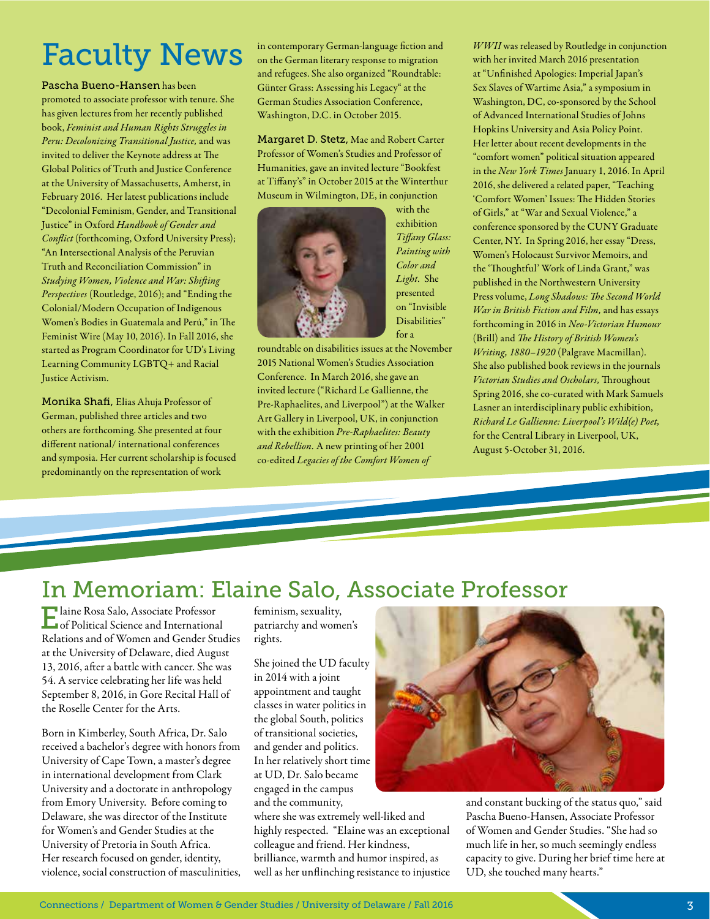# Faculty News

Pascha Bueno-Hansen has been

promoted to associate professor with tenure. She has given lectures from her recently published book, *Feminist and Human Rights Struggles in Peru: Decolonizing Transitional Justice,* and was invited to deliver the Keynote address at The Global Politics of Truth and Justice Conference at the University of Massachusetts, Amherst, in February 2016. Her latest publications include "Decolonial Feminism, Gender, and Transitional Justice" in Oxford *Handbook of Gender and Conflict* (forthcoming, Oxford University Press); "An Intersectional Analysis of the Peruvian Truth and Reconciliation Commission" in *Studying Women, Violence and War: Shifting Perspectives* (Routledge, 2016); and "Ending the Colonial/Modern Occupation of Indigenous Women's Bodies in Guatemala and Perú," in The Feminist Wire (May 10, 2016). In Fall 2016, she started as Program Coordinator for UD's Living Learning Community LGBTQ+ and Racial Justice Activism.

Monika Shafi, Elias Ahuja Professor of German, published three articles and two others are forthcoming. She presented at four different national/ international conferences and symposia. Her current scholarship is focused predominantly on the representation of work

in contemporary German-language fiction and on the German literary response to migration and refugees. She also organized "Roundtable: Günter Grass: Assessing his Legacy" at the German Studies Association Conference, Washington, D.C. in October 2015.

Margaret D. Stetz, Mae and Robert Carter Professor of Women's Studies and Professor of Humanities, gave an invited lecture "Bookfest at Tiffany's" in October 2015 at the Winterthur Museum in Wilmington, DE, in conjunction



with the exhibition *Tiffany Glass: Painting with Color and Light.* She presented on "Invisible Disabilities" for a

roundtable on disabilities issues at the November 2015 National Women's Studies Association Conference. In March 2016, she gave an invited lecture ("Richard Le Gallienne, the Pre-Raphaelites, and Liverpool") at the Walker Art Gallery in Liverpool, UK, in conjunction with the exhibition *Pre-Raphaelites: Beauty and Rebellion.* A new printing of her 2001 co-edited *Legacies of the Comfort Women of* 

*WWII* was released by Routledge in conjunction with her invited March 2016 presentation at "Unfinished Apologies: Imperial Japan's Sex Slaves of Wartime Asia," a symposium in Washington, DC, co-sponsored by the School of Advanced International Studies of Johns Hopkins University and Asia Policy Point. Her letter about recent developments in the "comfort women" political situation appeared in the *New York Times* January 1, 2016. In April 2016, she delivered a related paper, "Teaching 'Comfort Women' Issues: The Hidden Stories of Girls," at "War and Sexual Violence," a conference sponsored by the CUNY Graduate Center, NY. In Spring 2016, her essay "Dress, Women's Holocaust Survivor Memoirs, and the 'Thoughtful' Work of Linda Grant," was published in the Northwestern University Press volume, *Long Shadows: The Second World War in British Fiction and Film,* and has essays forthcoming in 2016 in *Neo-Victorian Humour*  (Brill) and *The History of British Women's Writing, 1880–1920* (Palgrave Macmillan). She also published book reviews in the journals *Victorian Studies and Oscholars,* Throughout Spring 2016, she co-curated with Mark Samuels Lasner an interdisciplinary public exhibition, *Richard Le Gallienne: Liverpool's Wild(e) Poet,*  for the Central Library in Liverpool, UK, August 5-October 31, 2016.

# In Memoriam: Elaine Salo, Associate Professor

Elaine Rosa Salo, Associate Professor of Political Science and International Relations and of Women and Gender Studies at the University of Delaware, died August 13, 2016, after a battle with cancer. She was 54. A service celebrating her life was held September 8, 2016, in Gore Recital Hall of the Roselle Center for the Arts.

Born in Kimberley, South Africa, Dr. Salo received a bachelor's degree with honors from University of Cape Town, a master's degree in international development from Clark University and a doctorate in anthropology from Emory University. Before coming to Delaware, she was director of the Institute for Women's and Gender Studies at the University of Pretoria in South Africa. Her research focused on gender, identity, violence, social construction of masculinities, feminism, sexuality, patriarchy and women's rights.

She joined the UD faculty in 2014 with a joint appointment and taught classes in water politics in the global South, politics of transitional societies, and gender and politics. In her relatively short time at UD, Dr. Salo became engaged in the campus and the community,

where she was extremely well-liked and highly respected. "Elaine was an exceptional colleague and friend. Her kindness, brilliance, warmth and humor inspired, as well as her unflinching resistance to injustice



and constant bucking of the status quo," said Pascha Bueno-Hansen, Associate Professor of Women and Gender Studies. "She had so much life in her, so much seemingly endless capacity to give. During her brief time here at UD, she touched many hearts."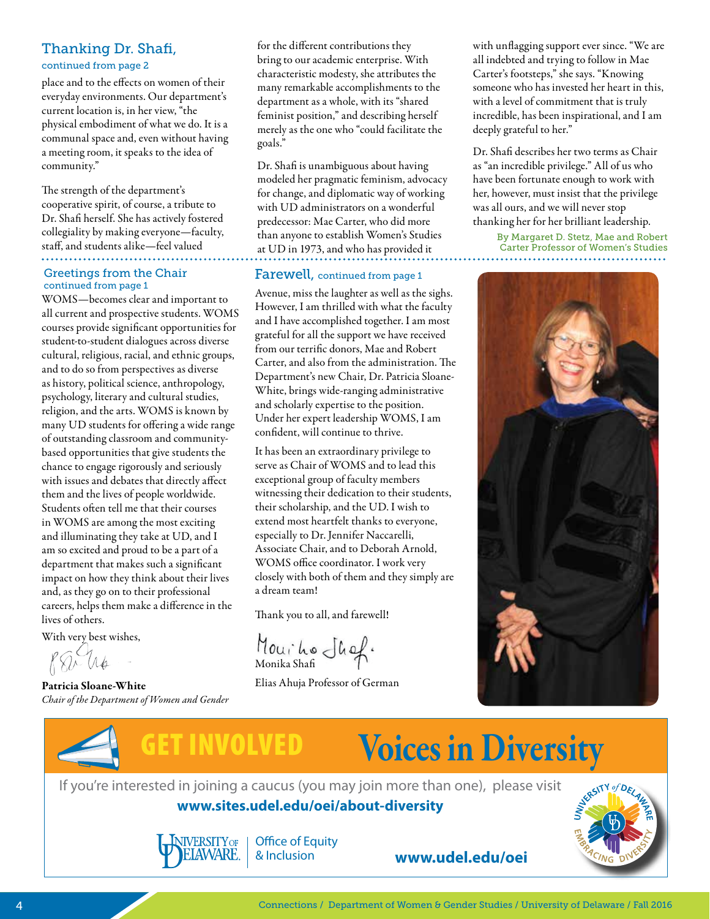#### Thanking Dr. Shafi,

continued from page 2

place and to the effects on women of their everyday environments. Our department's current location is, in her view, "the physical embodiment of what we do. It is a communal space and, even without having a meeting room, it speaks to the idea of community."

The strength of the department's cooperative spirit, of course, a tribute to Dr. Shafi herself. She has actively fostered collegiality by making everyone—faculty, staff, and students alike—feel valued

#### Greetings from the Chair continued from page 1

WOMS—becomes clear and important to all current and prospective students. WOMS courses provide significant opportunities for student-to-student dialogues across diverse cultural, religious, racial, and ethnic groups, and to do so from perspectives as diverse as history, political science, anthropology, psychology, literary and cultural studies, religion, and the arts. WOMS is known by many UD students for offering a wide range of outstanding classroom and communitybased opportunities that give students the chance to engage rigorously and seriously with issues and debates that directly affect them and the lives of people worldwide. Students often tell me that their courses in WOMS are among the most exciting and illuminating they take at UD, and I am so excited and proud to be a part of a department that makes such a significant impact on how they think about their lives and, as they go on to their professional careers, helps them make a difference in the lives of others.

With very best wishes,<br> $\bigotimes \bigotimes \mathcal{M}_{\phi}$ 

Patricia Sloane-White *Chair of the Department of Women and Gender* 

for the different contributions they bring to our academic enterprise. With characteristic modesty, she attributes the many remarkable accomplishments to the department as a whole, with its "shared feminist position," and describing herself merely as the one who "could facilitate the goals."

Dr. Shafi is unambiguous about having modeled her pragmatic feminism, advocacy for change, and diplomatic way of working with UD administrators on a wonderful predecessor: Mae Carter, who did more than anyone to establish Women's Studies at UD in 1973, and who has provided it

#### Farewell, continued from page 1

Avenue, miss the laughter as well as the sighs. However, I am thrilled with what the faculty and I have accomplished together. I am most grateful for all the support we have received from our terrific donors, Mae and Robert Carter, and also from the administration. The Department's new Chair, Dr. Patricia Sloane-White, brings wide-ranging administrative and scholarly expertise to the position. Under her expert leadership WOMS, I am confident, will continue to thrive.

It has been an extraordinary privilege to serve as Chair of WOMS and to lead this exceptional group of faculty members witnessing their dedication to their students, their scholarship, and the UD. I wish to extend most heartfelt thanks to everyone, especially to Dr. Jennifer Naccarelli, Associate Chair, and to Deborah Arnold, WOMS office coordinator. I work very closely with both of them and they simply are a dream team!

Thank you to all, and farewell!

Mouito Shof.

Elias Ahuja Professor of German

with unflagging support ever since. "We are all indebted and trying to follow in Mae Carter's footsteps," she says. "Knowing someone who has invested her heart in this, with a level of commitment that is truly incredible, has been inspirational, and I am deeply grateful to her."

Dr. Shafi describes her two terms as Chair as "an incredible privilege." All of us who have been fortunate enough to work with her, however, must insist that the privilege was all ours, and we will never stop thanking her for her brilliant leadership.

> By Margaret D. Stetz, Mae and Robert Carter Professor of Women's Studies





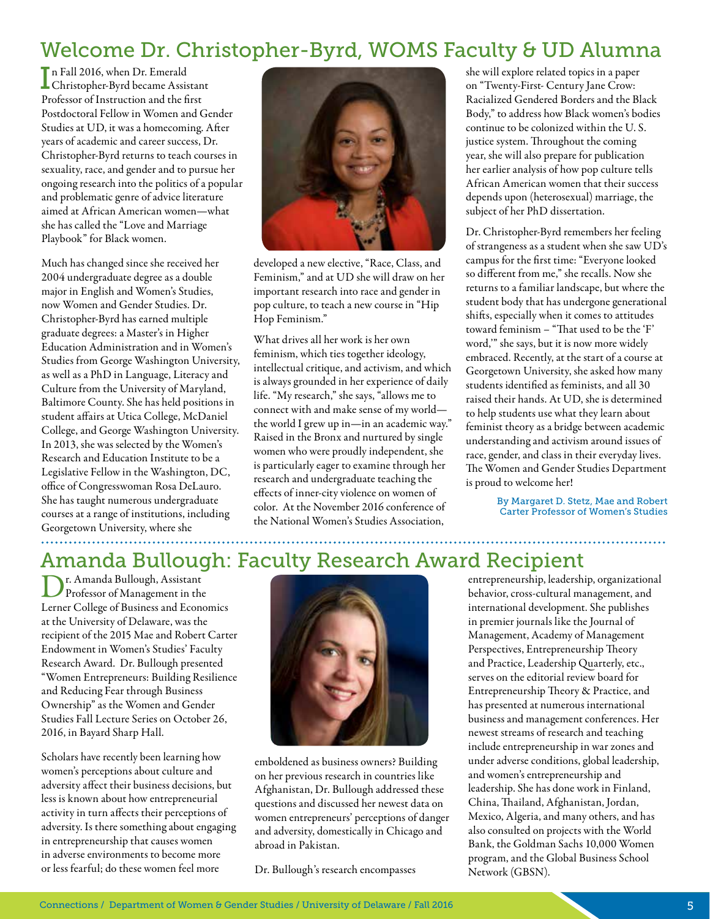## Welcome Dr. Christopher-Byrd, WOMS Faculty & UD Alumna

I n Fall 2016, when Dr. Emerald Christopher-Byrd became Assistant Professor of Instruction and the first Postdoctoral Fellow in Women and Gender Studies at UD, it was a homecoming. After years of academic and career success, Dr. Christopher-Byrd returns to teach courses in sexuality, race, and gender and to pursue her ongoing research into the politics of a popular and problematic genre of advice literature aimed at African American women—what she has called the "Love and Marriage Playbook" for Black women.

Much has changed since she received her 2004 undergraduate degree as a double major in English and Women's Studies, now Women and Gender Studies. Dr. Christopher-Byrd has earned multiple graduate degrees: a Master's in Higher Education Administration and in Women's Studies from George Washington University, as well as a PhD in Language, Literacy and Culture from the University of Maryland, Baltimore County. She has held positions in student affairs at Utica College, McDaniel College, and George Washington University. In 2013, she was selected by the Women's Research and Education Institute to be a Legislative Fellow in the Washington, DC, office of Congresswoman Rosa DeLauro. She has taught numerous undergraduate courses at a range of institutions, including Georgetown University, where she ......................



developed a new elective, "Race, Class, and Feminism," and at UD she will draw on her important research into race and gender in pop culture, to teach a new course in "Hip Hop Feminism."

What drives all her work is her own feminism, which ties together ideology, intellectual critique, and activism, and which is always grounded in her experience of daily life. "My research," she says, "allows me to connect with and make sense of my world the world I grew up in—in an academic way." Raised in the Bronx and nurtured by single women who were proudly independent, she is particularly eager to examine through her research and undergraduate teaching the effects of inner-city violence on women of color. At the November 2016 conference of the National Women's Studies Association,

she will explore related topics in a paper on "Twenty-First- Century Jane Crow: Racialized Gendered Borders and the Black Body," to address how Black women's bodies continue to be colonized within the U. S. justice system. Throughout the coming year, she will also prepare for publication her earlier analysis of how pop culture tells African American women that their success depends upon (heterosexual) marriage, the subject of her PhD dissertation.

Dr. Christopher-Byrd remembers her feeling of strangeness as a student when she saw UD's campus for the first time: "Everyone looked so different from me," she recalls. Now she returns to a familiar landscape, but where the student body that has undergone generational shifts, especially when it comes to attitudes toward feminism – "That used to be the 'F' word,'" she says, but it is now more widely embraced. Recently, at the start of a course at Georgetown University, she asked how many students identified as feminists, and all 30 raised their hands. At UD, she is determined to help students use what they learn about feminist theory as a bridge between academic understanding and activism around issues of race, gender, and class in their everyday lives. The Women and Gender Studies Department is proud to welcome her!

> By Margaret D. Stetz, Mae and Robert Carter Professor of Women's Studies

## Amanda Bullough: Faculty Research Award Recipient

Dr. Amanda Bullough, Assistant Professor of Management in the Lerner College of Business and Economics at the University of Delaware, was the recipient of the 2015 Mae and Robert Carter Endowment in Women's Studies' Faculty Research Award. Dr. Bullough presented "Women Entrepreneurs: Building Resilience and Reducing Fear through Business Ownership" as the Women and Gender Studies Fall Lecture Series on October 26, 2016, in Bayard Sharp Hall.

Scholars have recently been learning how women's perceptions about culture and adversity affect their business decisions, but less is known about how entrepreneurial activity in turn affects their perceptions of adversity. Is there something about engaging in entrepreneurship that causes women in adverse environments to become more or less fearful; do these women feel more



emboldened as business owners? Building on her previous research in countries like Afghanistan, Dr. Bullough addressed these questions and discussed her newest data on women entrepreneurs' perceptions of danger and adversity, domestically in Chicago and abroad in Pakistan.

Dr. Bullough's research encompasses

entrepreneurship, leadership, organizational behavior, cross-cultural management, and international development. She publishes in premier journals like the Journal of Management, Academy of Management Perspectives, Entrepreneurship Theory and Practice, Leadership Quarterly, etc., serves on the editorial review board for Entrepreneurship Theory & Practice, and has presented at numerous international business and management conferences. Her newest streams of research and teaching include entrepreneurship in war zones and under adverse conditions, global leadership, and women's entrepreneurship and leadership. She has done work in Finland, China, Thailand, Afghanistan, Jordan, Mexico, Algeria, and many others, and has also consulted on projects with the World Bank, the Goldman Sachs 10,000 Women program, and the Global Business School Network (GBSN).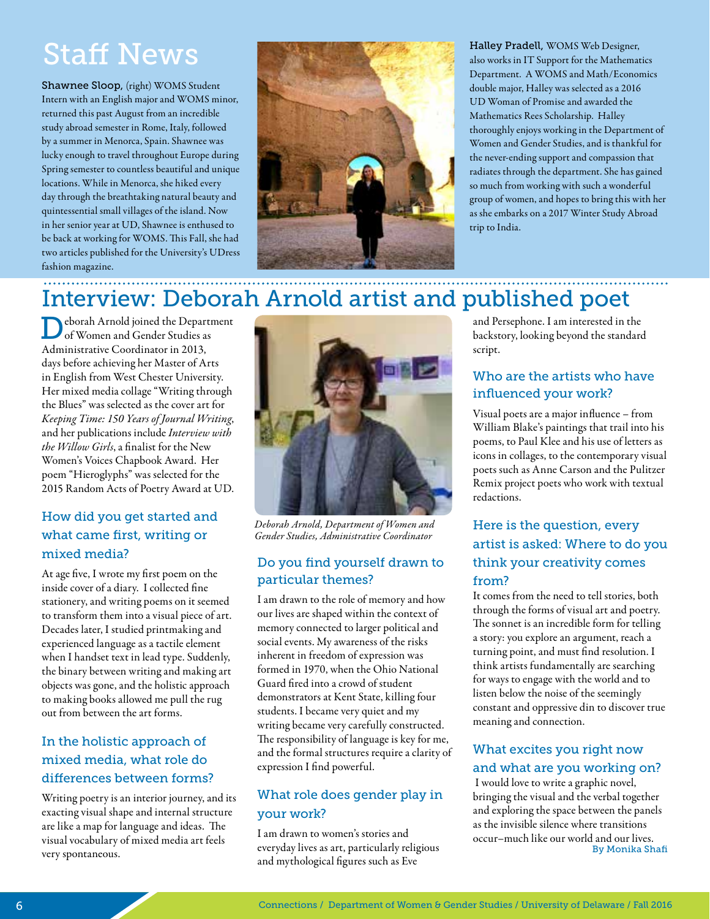# Staff News

Shawnee Sloop, (right) WOMS Student Intern with an English major and WOMS minor, returned this past August from an incredible study abroad semester in Rome, Italy, followed by a summer in Menorca, Spain. Shawnee was lucky enough to travel throughout Europe during Spring semester to countless beautiful and unique locations. While in Menorca, she hiked every day through the breathtaking natural beauty and quintessential small villages of the island. Now in her senior year at UD, Shawnee is enthused to be back at working for WOMS. This Fall, she had two articles published for the University's UDress fashion magazine.



Halley Pradell, WOMS Web Designer, also works in IT Support for the Mathematics Department. A WOMS and Math/Economics double major, Halley was selected as a 2016 UD Woman of Promise and awarded the Mathematics Rees Scholarship. Halley thoroughly enjoys working in the Department of Women and Gender Studies, and is thankful for the never-ending support and compassion that radiates through the department. She has gained so much from working with such a wonderful group of women, and hopes to bring this with her as she embarks on a 2017 Winter Study Abroad trip to India.

#### Interview: Deborah Arnold artist and published poet

Deborah Arnold joined the Department of Women and Gender Studies as Administrative Coordinator in 2013, days before achieving her Master of Arts in English from West Chester University. Her mixed media collage "Writing through the Blues" was selected as the cover art for *Keeping Time: 150 Years of Journal Writing*, and her publications include *Interview with the Willow Girls*, a finalist for the New Women's Voices Chapbook Award. Her poem "Hieroglyphs" was selected for the 2015 Random Acts of Poetry Award at UD.

#### How did you get started and what came first, writing or mixed media?

At age five, I wrote my first poem on the inside cover of a diary. I collected fine stationery, and writing poems on it seemed to transform them into a visual piece of art. Decades later, I studied printmaking and experienced language as a tactile element when I handset text in lead type. Suddenly, the binary between writing and making art objects was gone, and the holistic approach to making books allowed me pull the rug out from between the art forms.

#### In the holistic approach of mixed media, what role do differences between forms?

Writing poetry is an interior journey, and its exacting visual shape and internal structure are like a map for language and ideas. The visual vocabulary of mixed media art feels very spontaneous.



*Deborah Arnold, Department of Women and Gender Studies, Administrative Coordinator*

#### Do you find yourself drawn to particular themes?

I am drawn to the role of memory and how our lives are shaped within the context of memory connected to larger political and social events. My awareness of the risks inherent in freedom of expression was formed in 1970, when the Ohio National Guard fired into a crowd of student demonstrators at Kent State, killing four students. I became very quiet and my writing became very carefully constructed. The responsibility of language is key for me, and the formal structures require a clarity of expression I find powerful.

#### What role does gender play in your work?

I am drawn to women's stories and everyday lives as art, particularly religious and mythological figures such as Eve

and Persephone. I am interested in the backstory, looking beyond the standard script.

#### Who are the artists who have influenced your work?

Visual poets are a major influence – from William Blake's paintings that trail into his poems, to Paul Klee and his use of letters as icons in collages, to the contemporary visual poets such as Anne Carson and the Pulitzer Remix project poets who work with textual redactions.

#### Here is the question, every artist is asked: Where to do you think your creativity comes from?

It comes from the need to tell stories, both through the forms of visual art and poetry. The sonnet is an incredible form for telling a story: you explore an argument, reach a turning point, and must find resolution. I think artists fundamentally are searching for ways to engage with the world and to listen below the noise of the seemingly constant and oppressive din to discover true meaning and connection.

#### What excites you right now and what are you working on?

 I would love to write a graphic novel, bringing the visual and the verbal together and exploring the space between the panels as the invisible silence where transitions occur–much like our world and our lives. By Monika Shafi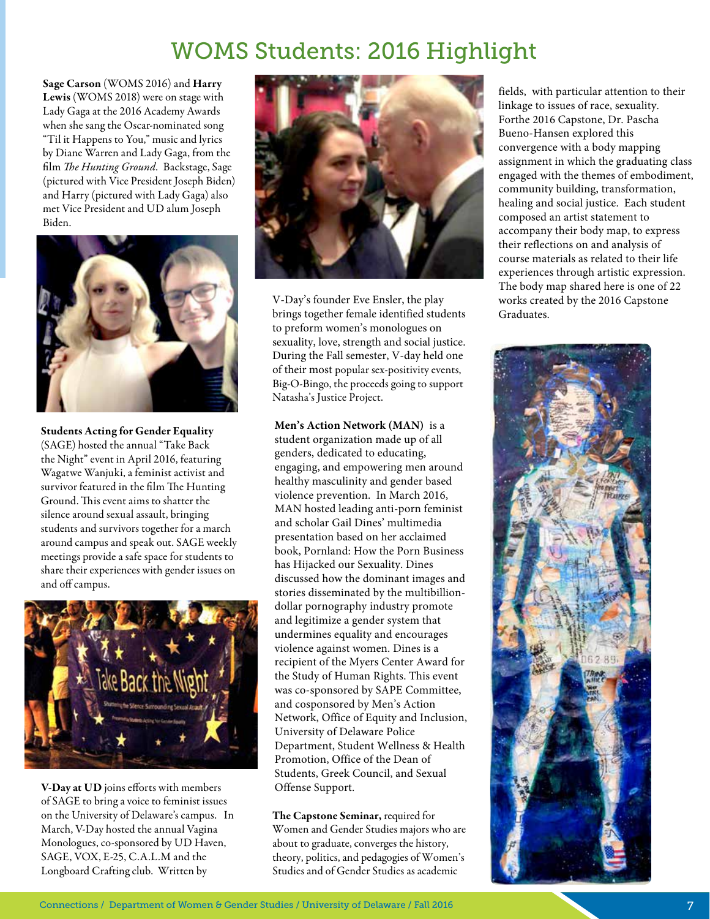# WOMS Students: 2016 Highlight

Sage Carson (WOMS 2016) and Harry Lewis (WOMS 2018) were on stage with Lady Gaga at the 2016 Academy Awards when she sang the Oscar-nominated song "Til it Happens to You," music and lyrics by Diane Warren and Lady Gaga, from the film *The Hunting Ground.* Backstage, Sage (pictured with Vice President Joseph Biden) and Harry (pictured with Lady Gaga) also met Vice President and UD alum Joseph Biden.



Students Acting for Gender Equality (SAGE) hosted the annual "Take Back the Night" event in April 2016, featuring Wagatwe Wanjuki, a feminist activist and survivor featured in the film The Hunting Ground. This event aims to shatter the silence around sexual assault, bringing students and survivors together for a march around campus and speak out. SAGE weekly meetings provide a safe space for students to share their experiences with gender issues on and off campus.



V-Day at UD joins efforts with members of SAGE to bring a voice to feminist issues on the University of Delaware's campus. In March, V-Day hosted the annual Vagina Monologues, co-sponsored by UD Haven, SAGE, VOX, E-25, C.A.L.M and the Longboard Crafting club. Written by



V-Day's founder Eve Ensler, the play brings together female identified students to preform women's monologues on sexuality, love, strength and social justice. During the Fall semester, V-day held one of their most popular sex-positivity events, Big-O-Bingo, the proceeds going to support Natasha's Justice Project.

**Men's Action Network (MAN)** is a student organization made up of all genders, dedicated to educating, engaging, and empowering men around healthy masculinity and gender based violence prevention. In March 2016, MAN hosted leading anti-porn feminist and scholar Gail Dines' multimedia presentation based on her acclaimed book, Pornland: How the Porn Business has Hijacked our Sexuality. Dines discussed how the dominant images and stories disseminated by the multibilliondollar pornography industry promote and legitimize a gender system that undermines equality and encourages violence against women. Dines is a recipient of the Myers Center Award for the Study of Human Rights. This event was co-sponsored by SAPE Committee, and cosponsored by Men's Action Network, Office of Equity and Inclusion, University of Delaware Police Department, Student Wellness & Health Promotion, Office of the Dean of Students, Greek Council, and Sexual Offense Support.

**T**he Capstone Seminar, required for Women and Gender Studies majors who are about to graduate, converges the history, theory, politics, and pedagogies of Women's Studies and of Gender Studies as academic

fields, with particular attention to their linkage to issues of race, sexuality. Forthe 2016 Capstone, Dr. Pascha Bueno-Hansen explored this convergence with a body mapping assignment in which the graduating class engaged with the themes of embodiment, community building, transformation, healing and social justice. Each student composed an artist statement to accompany their body map, to express their reflections on and analysis of course materials as related to their life experiences through artistic expression. The body map shared here is one of 22 works created by the 2016 Capstone Graduates.

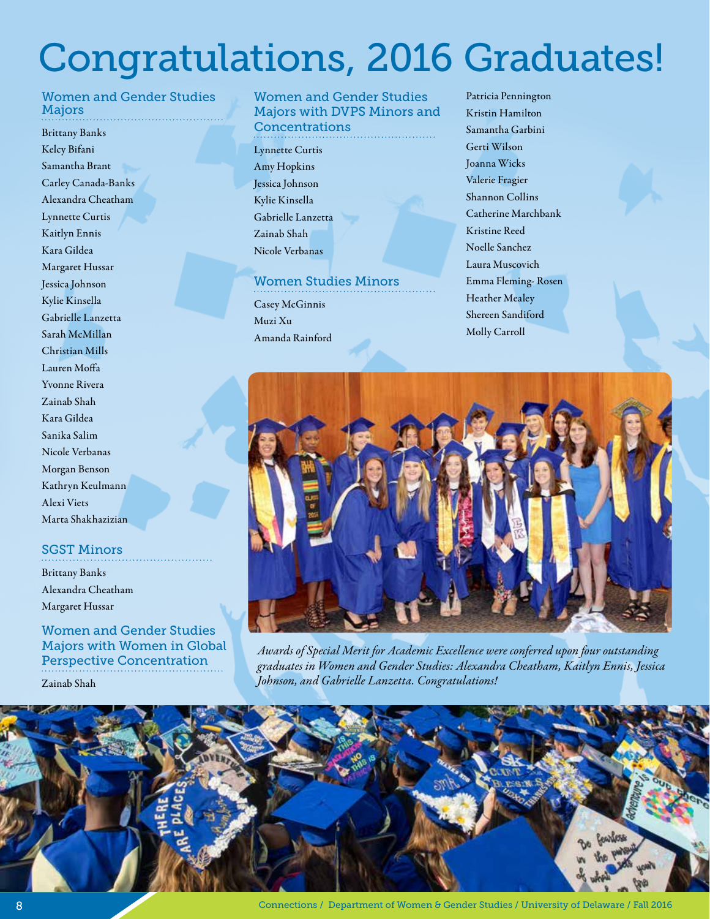# Congratulations, 2016 Graduates!

#### Women and Gender Studies Majors

Brittany Banks Kelcy Bifani Samantha Brant Carley Canada-Banks Alexandra Cheatham Lynnette Curtis Kaitlyn Ennis Kara Gildea Margaret Hussar Jessica Johnson Kylie Kinsella Gabrielle Lanzetta Sarah McMillan Christian Mills Lauren Moffa Yvonne Rivera Zainab Shah Kara Gildea Sanika Salim Nicole Verbanas Morgan Benson Kathryn Keulmann Alexi Viets Marta Shakhazizian

#### SGST Minors

Brittany Banks Alexandra Cheatham Margaret Hussar

Women and Gender Studies Majors with Women in Global Perspective Concentration

Zainab Shah

#### Women and Gender Studies Majors with DVPS Minors and **Concentrations**

Lynnette Curtis Amy Hopkins Jessica Johnson Kylie Kinsella Gabrielle Lanzetta Zainab Shah Nicole Verbanas

#### Women Studies Minors

Casey McGinnis Muzi Xu Amanda Rainford

Patricia Pennington Kristin Hamilton Samantha Garbini Gerti Wilson Joanna Wicks Valerie Fragier Shannon Collins Catherine Marchbank Kristine Reed Noelle Sanchez Laura Muscovich Emma Fleming- Rosen Heather Mealey Shereen Sandiford Molly Carroll



*Awards of Special Merit for Academic Excellence were conferred upon four outstanding graduates in Women and Gender Studies: Alexandra Cheatham, Kaitlyn Ennis, Jessica Johnson, and Gabrielle Lanzetta. Congratulations!*

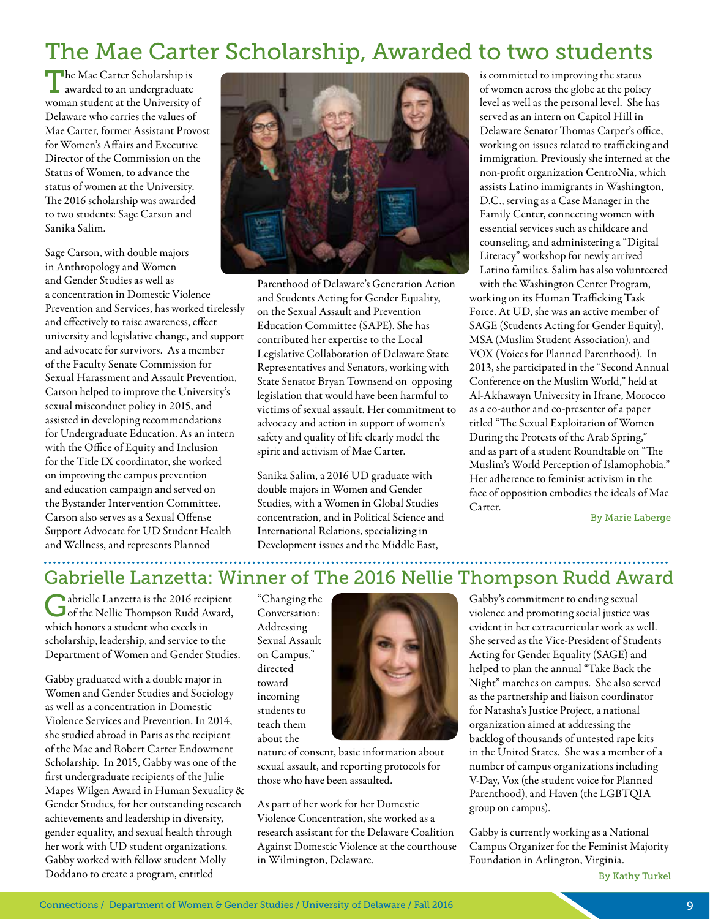# The Mae Carter Scholarship, Awarded to two students

The Mae Carter Scholarship is awarded to an undergraduate woman student at the University of Delaware who carries the values of Mae Carter, former Assistant Provost for Women's Affairs and Executive Director of the Commission on the Status of Women, to advance the status of women at the University. The 2016 scholarship was awarded to two students: Sage Carson and Sanika Salim.

Sage Carson, with double majors in Anthropology and Women and Gender Studies as well as a concentration in Domestic Violence Prevention and Services, has worked tirelessly and effectively to raise awareness, effect university and legislative change, and support and advocate for survivors. As a member of the Faculty Senate Commission for Sexual Harassment and Assault Prevention, Carson helped to improve the University's sexual misconduct policy in 2015, and assisted in developing recommendations for Undergraduate Education. As an intern with the Office of Equity and Inclusion for the Title IX coordinator, she worked on improving the campus prevention and education campaign and served on the Bystander Intervention Committee. Carson also serves as a Sexual Offense Support Advocate for UD Student Health and Wellness, and represents Planned



Parenthood of Delaware's Generation Action and Students Acting for Gender Equality, on the Sexual Assault and Prevention Education Committee (SAPE). She has contributed her expertise to the Local Legislative Collaboration of Delaware State Representatives and Senators, working with State Senator Bryan Townsend on opposing legislation that would have been harmful to victims of sexual assault. Her commitment to advocacy and action in support of women's safety and quality of life clearly model the spirit and activism of Mae Carter.

Sanika Salim, a 2016 UD graduate with double majors in Women and Gender Studies, with a Women in Global Studies concentration, and in Political Science and International Relations, specializing in Development issues and the Middle East,

is committed to improving the status of women across the globe at the policy level as well as the personal level. She has served as an intern on Capitol Hill in Delaware Senator Thomas Carper's office, working on issues related to trafficking and immigration. Previously she interned at the non-profit organization CentroNia, which assists Latino immigrants in Washington, D.C., serving as a Case Manager in the Family Center, connecting women with essential services such as childcare and counseling, and administering a "Digital Literacy" workshop for newly arrived Latino families. Salim has also volunteered with the Washington Center Program,

working on its Human Trafficking Task Force. At UD, she was an active member of SAGE (Students Acting for Gender Equity), MSA (Muslim Student Association), and VOX (Voices for Planned Parenthood). In 2013, she participated in the "Second Annual Conference on the Muslim World," held at Al-Akhawayn University in Ifrane, Morocco as a co-author and co-presenter of a paper titled "The Sexual Exploitation of Women During the Protests of the Arab Spring," and as part of a student Roundtable on "The Muslim's World Perception of Islamophobia." Her adherence to feminist activism in the face of opposition embodies the ideals of Mae Carter.

By Marie Laberge

### Gabrielle Lanzetta: Winner of The 2016 Nellie Thompson Rudd Award

Gabrielle Lanzetta is the 2016 recipient of the Nellie Thompson Rudd Award, which honors a student who excels in scholarship, leadership, and service to the Department of Women and Gender Studies.

Gabby graduated with a double major in Women and Gender Studies and Sociology as well as a concentration in Domestic Violence Services and Prevention. In 2014, she studied abroad in Paris as the recipient of the Mae and Robert Carter Endowment Scholarship. In 2015, Gabby was one of the first undergraduate recipients of the Julie Mapes Wilgen Award in Human Sexuality & Gender Studies, for her outstanding research achievements and leadership in diversity, gender equality, and sexual health through her work with UD student organizations. Gabby worked with fellow student Molly Doddano to create a program, entitled

"Changing the Conversation: Addressing Sexual Assault on Campus," directed toward incoming students to teach them about the



nature of consent, basic information about sexual assault, and reporting protocols for those who have been assaulted.

As part of her work for her Domestic Violence Concentration, she worked as a research assistant for the Delaware Coalition Against Domestic Violence at the courthouse in Wilmington, Delaware.

Gabby's commitment to ending sexual violence and promoting social justice was evident in her extracurricular work as well. She served as the Vice-President of Students Acting for Gender Equality (SAGE) and helped to plan the annual "Take Back the Night" marches on campus. She also served as the partnership and liaison coordinator for Natasha's Justice Project, a national organization aimed at addressing the backlog of thousands of untested rape kits in the United States. She was a member of a number of campus organizations including V-Day, Vox (the student voice for Planned Parenthood), and Haven (the LGBTQIA group on campus).

Gabby is currently working as a National Campus Organizer for the Feminist Majority Foundation in Arlington, Virginia.

By Kathy Turkel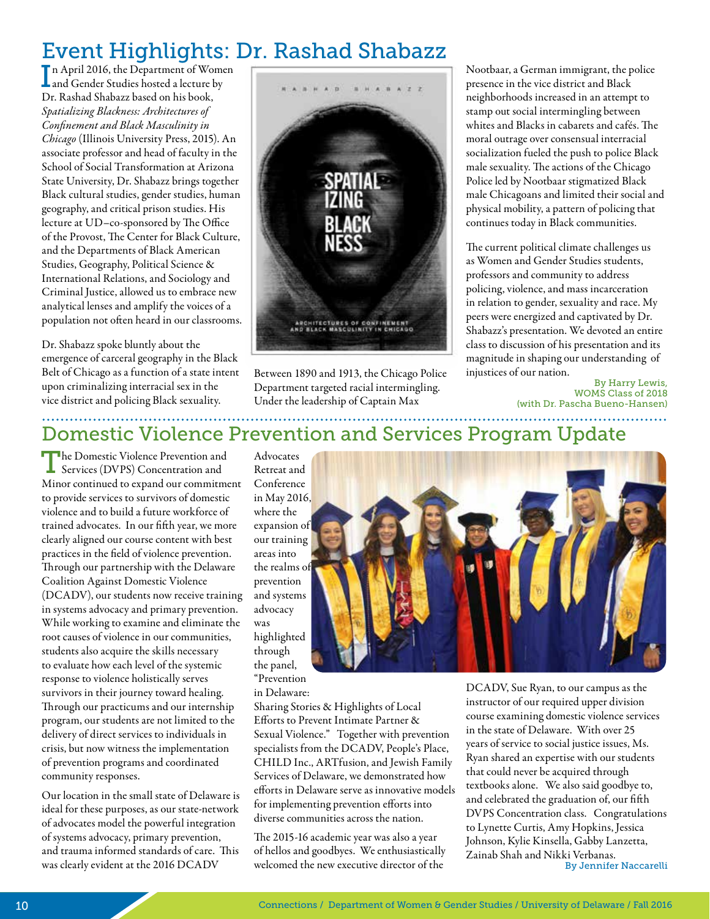# Event Highlights: Dr. Rashad Shabazz

I n April 2016, the Department of Women and Gender Studies hosted a lecture by Dr. Rashad Shabazz based on his book, *Spatializing Blackness: Architectures of Confinement and Black Masculinity in Chicago* (Illinois University Press, 2015). An associate professor and head of faculty in the School of Social Transformation at Arizona State University, Dr. Shabazz brings together Black cultural studies, gender studies, human geography, and critical prison studies. His lecture at UD–co-sponsored by The Office of the Provost, The Center for Black Culture, and the Departments of Black American Studies, Geography, Political Science & International Relations, and Sociology and Criminal Justice, allowed us to embrace new analytical lenses and amplify the voices of a population not often heard in our classrooms.

Dr. Shabazz spoke bluntly about the emergence of carceral geography in the Black Belt of Chicago as a function of a state intent upon criminalizing interracial sex in the vice district and policing Black sexuality.



Between 1890 and 1913, the Chicago Police Department targeted racial intermingling. Under the leadership of Captain Max

Nootbaar, a German immigrant, the police presence in the vice district and Black neighborhoods increased in an attempt to stamp out social intermingling between whites and Blacks in cabarets and cafés. The moral outrage over consensual interracial socialization fueled the push to police Black male sexuality. The actions of the Chicago Police led by Nootbaar stigmatized Black male Chicagoans and limited their social and physical mobility, a pattern of policing that continues today in Black communities.

The current political climate challenges us as Women and Gender Studies students, professors and community to address policing, violence, and mass incarceration in relation to gender, sexuality and race. My peers were energized and captivated by Dr. Shabazz's presentation. We devoted an entire class to discussion of his presentation and its magnitude in shaping our understanding of injustices of our nation.

By Harry Lewis, WOMS Class of 2018 (with Dr. Pascha Bueno-Hansen)

## Domestic Violence Prevention and Services Program Update

The Domestic Violence Prevention and Services (DVPS) Concentration and Minor continued to expand our commitment to provide services to survivors of domestic violence and to build a future workforce of trained advocates. In our fifth year, we more clearly aligned our course content with best practices in the field of violence prevention. Through our partnership with the Delaware Coalition Against Domestic Violence (DCADV), our students now receive training in systems advocacy and primary prevention. While working to examine and eliminate the root causes of violence in our communities, students also acquire the skills necessary to evaluate how each level of the systemic response to violence holistically serves survivors in their journey toward healing. Through our practicums and our internship program, our students are not limited to the delivery of direct services to individuals in crisis, but now witness the implementation of prevention programs and coordinated community responses.

Our location in the small state of Delaware is ideal for these purposes, as our state-network of advocates model the powerful integration of systems advocacy, primary prevention, and trauma informed standards of care. This was clearly evident at the 2016 DCADV

Advocates Retreat and Conference in May 2016, where the expansion of our training areas into the realms of prevention and systems advocacy was highlighted through the panel, "Prevention in Delaware:

Sharing Stories & Highlights of Local Efforts to Prevent Intimate Partner & Sexual Violence." Together with prevention specialists from the DCADV, People's Place, CHILD Inc., ARTfusion, and Jewish Family Services of Delaware, we demonstrated how efforts in Delaware serve as innovative models for implementing prevention efforts into diverse communities across the nation.

The 2015-16 academic year was also a year of hellos and goodbyes. We enthusiastically welcomed the new executive director of the



DCADV, Sue Ryan, to our campus as the instructor of our required upper division course examining domestic violence services in the state of Delaware. With over 25 years of service to social justice issues, Ms. Ryan shared an expertise with our students that could never be acquired through textbooks alone. We also said goodbye to, and celebrated the graduation of, our fifth DVPS Concentration class. Congratulations to Lynette Curtis, Amy Hopkins, Jessica Johnson, Kylie Kinsella, Gabby Lanzetta, Zainab Shah and Nikki Verbanas. By Jennifer Naccarelli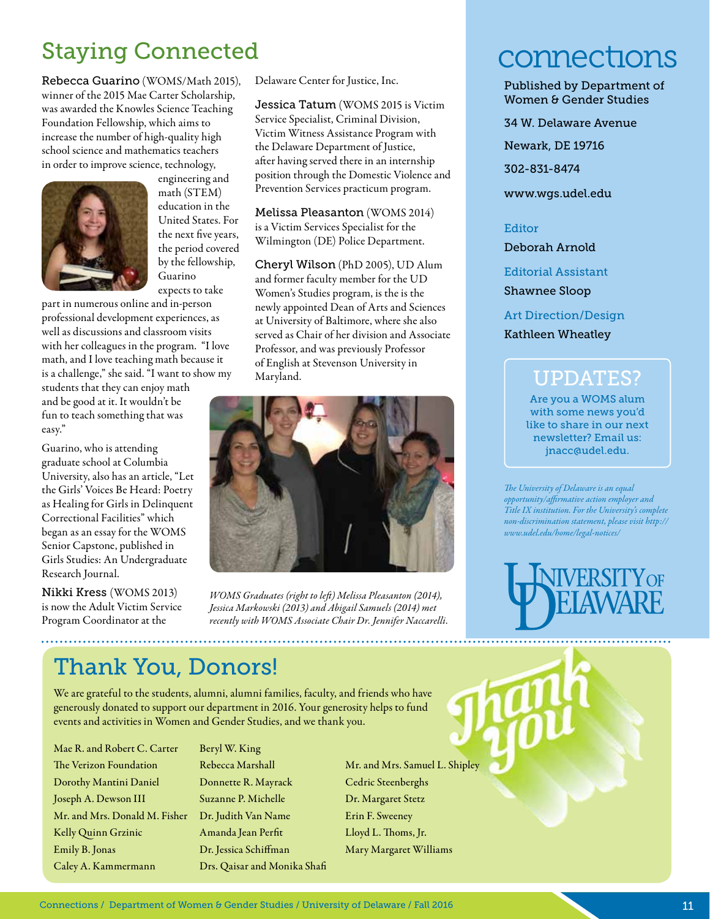# Staying Connected

Rebecca Guarino (WOMS/Math 2015), winner of the 2015 Mae Carter Scholarship, was awarded the Knowles Science Teaching Foundation Fellowship, which aims to increase the number of high-quality high school science and mathematics teachers in order to improve science, technology,



engineering and math (STEM) education in the United States. For the next five years, the period covered by the fellowship, Guarino expects to take

part in numerous online and in-person professional development experiences, as well as discussions and classroom visits with her colleagues in the program. "I love math, and I love teaching math because it is a challenge," she said. "I want to show my

students that they can enjoy math and be good at it. It wouldn't be fun to teach something that was easy."

Guarino, who is attending graduate school at Columbia University, also has an article, "Let the Girls' Voices Be Heard: Poetry as Healing for Girls in Delinquent Correctional Facilities" which began as an essay for the WOMS Senior Capstone, published in Girls Studies: An Undergraduate Research Journal.

Nikki Kress (WOMS 2013) is now the Adult Victim Service Program Coordinator at the

Delaware Center for Justice, Inc.

Jessica Tatum (WOMS 2015 is Victim Service Specialist, Criminal Division, Victim Witness Assistance Program with the Delaware Department of Justice, after having served there in an internship position through the Domestic Violence and Prevention Services practicum program.

Melissa Pleasanton (WOMS 2014) is a Victim Services Specialist for the Wilmington (DE) Police Department.

Cheryl Wilson (PhD 2005), UD Alum and former faculty member for the UD Women's Studies program, is the is the newly appointed Dean of Arts and Sciences at University of Baltimore, where she also served as Chair of her division and Associate Professor, and was previously Professor of English at Stevenson University in Maryland.



*WOMS Graduates (right to left) Melissa Pleasanton (2014), Jessica Markowski (2013) and Abigail Samuels (2014) met recently with WOMS Associate Chair Dr. Jennifer Naccarelli.*

# Thank You, Donors!

We are grateful to the students, alumni, alumni families, faculty, and friends who have generously donated to support our department in 2016. Your generosity helps to fund events and activities in Women and Gender Studies, and we thank you.

Mae R. and Robert C. Carter The Verizon Foundation Dorothy Mantini Daniel Joseph A. Dewson III Mr. and Mrs. Donald M. Fisher Kelly Quinn Grzinic Emily B. Jonas Caley A. Kammermann

Beryl W. King Rebecca Marshall Donnette R. Mayrack Suzanne P. Michelle Dr. Judith Van Name Amanda Jean Perfit Dr. Jessica Schiffman Drs. Qaisar and Monika Shafi

Mr. and Mrs. Samuel L. Shipley Cedric Steenberghs Dr. Margaret Stetz Erin F. Sweeney Lloyd L. Thoms, Jr. Mary Margaret Williams

# connections

Published by Department of Women & Gender Studies

34 W. Delaware Avenue

Newark, DE 19716

302-831-8474

www.wgs.udel.edu

#### Editor

Deborah Arnold

Editorial Assistant

Shawnee Sloop

Art Direction/Design

Kathleen Wheatley

## UPDATES?

Are you a WOMS alum with some news you'd like to share in our next newsletter? Email us: jnacc@udel.edu.

*The University of Delaware is an equal opportunity/affirmative action employer and Title IX institution. For the University's complete non-discrimination statement, please visit http:// www.udel.edu/home/legal-notices/*